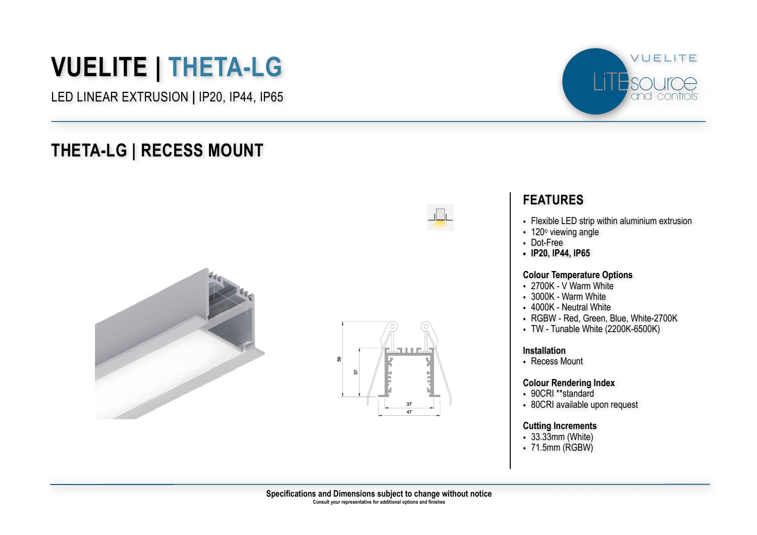# **VUELITE | THETA-LG**

LED LINEAR EXTRUSION **|** IP20, IP44, IP65

## **THETA-LG | RECESS MOUNT**







### **FEATURES**

• Flexible LED strip within aluminium extrusion

VUELITE

and controls

- $\cdot$  120 $\circ$  viewing angle
- Dot-Free
- **• IP20, IP44, IP65**

#### **Colour Temperature Options**

- 2700K V Warm White
- 3000K Warm White
- 4000K Neutral White
- RGBW Red, Green, Blue, White-2700K
- TW Tunable White (2200K-6500K)

#### **Installation**

• Recess Mount

#### **Colour Rendering Index**

- 90CRI \*\* standard
- 80CRI available upon request

#### **Cutting Increments**

- 33.33mm (White)
- 71.5mm (RGBW)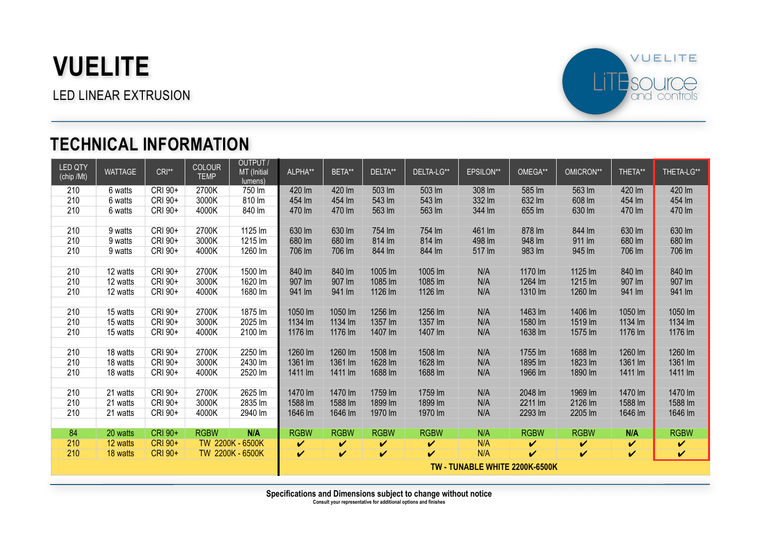## **VUELITE**

LED LINEAR EXTRUSION



### **TECHNICAL INFORMATION**

| <b>LED QTY</b><br>(chip /Mt) | <b>WATTAGE</b> | CRI**   | <b>COLOUR</b><br><b>TEMP</b> | OUTPUT /<br>MT (Initial<br>lumens) | ALPHA**                                                                                                       | BETA**             | DELTA**     | DELTA-LG**  | EPSILON** | OMEGA**     | OMICRON**   | THETA**                    | THETA-LG**  |  |  |
|------------------------------|----------------|---------|------------------------------|------------------------------------|---------------------------------------------------------------------------------------------------------------|--------------------|-------------|-------------|-----------|-------------|-------------|----------------------------|-------------|--|--|
| 210                          | 6 watts        | CRI 90+ | 2700K                        | 750 lm                             | 420 lm                                                                                                        | 420 lm             | 503 lm      | 503 lm      | 308 lm    | 585 lm      | 563 lm      | 420 lm                     | 420 lm      |  |  |
| 210                          | 6 watts        | CRI 90+ | 3000K                        | 810 lm                             | 454 lm                                                                                                        | 454 lm             | 543 lm      | 543 lm      | 332 lm    | 632 lm      | 608 lm      | 454 lm                     | 454 lm      |  |  |
| 210                          | 6 watts        | CRI 90+ | 4000K                        | 840 lm                             | 470 lm                                                                                                        | 470 lm             | 563 lm      | 563 lm      | 344 Im    | 655 lm      | 630 lm      | 470 lm                     | 470 lm      |  |  |
|                              |                |         |                              |                                    |                                                                                                               |                    |             |             |           |             |             |                            |             |  |  |
| 210                          | 9 watts        | CRI 90+ | 2700K                        | 1125 lm                            | 630 lm                                                                                                        | 630 lm             | 754 lm      | 754 lm      | 461 lm    | 878 lm      | 844 lm      | 630 lm                     | 630 lm      |  |  |
| 210                          | 9 watts        | CRI 90+ | 3000K                        | 1215 lm                            | 680 lm                                                                                                        | 680 lm             | 814 lm      | 814 lm      | 498 lm    | 948 lm      | 911 Im      | 680 lm                     | 680 lm      |  |  |
| 210                          | 9 watts        | CRI 90+ | 4000K                        | 1260 lm                            | 706 lm                                                                                                        | 706 lm             | 844 lm      | 844 lm      | 517 lm    | 983 lm      | 945 lm      | 706 lm                     | 706 lm      |  |  |
|                              |                |         |                              |                                    |                                                                                                               |                    |             |             |           |             |             |                            |             |  |  |
| 210                          | 12 watts       | CRI 90+ | 2700K                        | 1500 lm                            | 840 lm                                                                                                        | 840 lm             | 1005 lm     | 1005 lm     | N/A       | 1170 lm     | 1125 lm     | 840 lm                     | 840 lm      |  |  |
| 210                          | 12 watts       | CRI 90+ | 3000K                        | 1620 lm                            | 907 lm                                                                                                        | 907 lm             | 1085 lm     | 1085 lm     | N/A       | 1264 lm     | 1215 lm     | 907 lm                     | 907 lm      |  |  |
| 210                          | 12 watts       | CRI 90+ | 4000K                        | 1680 lm                            | 941 lm                                                                                                        | 941 lm             | 1126 lm     | 1126 lm     | N/A       | 1310 lm     | 1260 lm     | 941 lm                     | 941 lm      |  |  |
|                              |                |         |                              |                                    |                                                                                                               |                    |             |             |           |             |             |                            |             |  |  |
| 210                          | 15 watts       | CRI 90+ | 2700K                        | 1875 lm                            | 1050 lm                                                                                                       | 1050 lm            | 1256 lm     | 1256 lm     | N/A       | 1463 lm     | 1406 lm     | 1050 lm                    | 1050 lm     |  |  |
| 210                          | 15 watts       | CRI 90+ | 3000K                        | 2025 lm                            | 1134 lm                                                                                                       | 1134 Im            | 1357 lm     | 1357 lm     | N/A       | 1580 lm     | 1519 lm     | 1134 Im                    | 1134 lm     |  |  |
| 210                          | 15 watts       | CRI 90+ | 4000K                        | 2100 lm                            | 1176 lm                                                                                                       | 1176 lm            | 1407 lm     | 1407 lm     | N/A       | 1638 lm     | 1575 lm     | 1176 lm                    | 1176 lm     |  |  |
|                              |                |         |                              |                                    |                                                                                                               |                    |             |             |           |             |             |                            |             |  |  |
| 210                          | 18 watts       | CRI 90+ | 2700K                        | 2250 lm                            | 1260 lm                                                                                                       | 1260 lm            | 1508 lm     | 1508 lm     | N/A       | 1755 lm     | 1688 lm     | 1260 lm                    | 1260 lm     |  |  |
| 210                          | 18 watts       | CRI 90+ | 3000K                        | 2430 lm                            | 1361 lm                                                                                                       | 1361 lm            | 1628 lm     | 1628 lm     | N/A       | 1895 lm     | 1823 lm     | 1361 lm                    | 1361 lm     |  |  |
| 210                          | 18 watts       | CRI 90+ | 4000K                        | 2520 lm                            | 1411 lm                                                                                                       | 1411 Im            | 1688 lm     | 1688 lm     | N/A       | 1966 lm     | 1890 lm     | 1411 lm                    | 1411 Im     |  |  |
|                              |                |         |                              |                                    |                                                                                                               |                    |             |             |           |             |             |                            |             |  |  |
|                              | 21 watts       | CRI 90+ | 2700K                        | 2625 lm                            | 1470 lm                                                                                                       |                    | 1759 lm     |             |           |             | 1969 lm     | 1470 lm                    | 1470 lm     |  |  |
| 210                          |                |         |                              |                                    |                                                                                                               | 1470 lm            |             | 1759 lm     | N/A       | 2048 lm     |             |                            |             |  |  |
| 210                          | 21 watts       | CRI 90+ | 3000K                        | 2835 lm                            | 1588 lm                                                                                                       | 1588 lm            | 1899 Im     | 1899 Im     | N/A       | 2211 Im     | 2126 lm     | 1588 lm                    | 1588 lm     |  |  |
| 210                          | 21 watts       | CRI 90+ | 4000K                        | 2940 lm                            | 1646 lm                                                                                                       | 1646 Im            | 1970 lm     | 1970 lm     | N/A       | 2293 lm     | 2205 lm     | 1646 lm                    | 1646 lm     |  |  |
|                              |                |         |                              |                                    |                                                                                                               |                    |             |             |           |             |             |                            |             |  |  |
| 84                           | 20 watts       | CRI 90+ | <b>RGBW</b>                  | N/A                                | <b>RGBW</b>                                                                                                   | <b>RGBW</b>        | <b>RGBW</b> | <b>RGBW</b> | N/A       | <b>RGBW</b> | <b>RGBW</b> | N/A                        | <b>RGBW</b> |  |  |
| 210                          | 12 watts       | CRI 90+ | TW 2200K - 6500K             |                                    | V                                                                                                             | $\boldsymbol{\nu}$ | V           | V           | N/A       | V           | $\mathbf v$ | $\boldsymbol{\mathcal{U}}$ | V           |  |  |
| 210                          | 18 watts       | CRI 90+ |                              | TW 2200K - 6500K                   | N/A<br>$\boldsymbol{\nu}$<br>V<br>$\boldsymbol{\nu}$<br>V<br>$\mathbf v$<br>V<br>$\checkmark$<br>$\checkmark$ |                    |             |             |           |             |             |                            |             |  |  |
|                              |                |         |                              |                                    | TW - TUNABLE WHITE 2200K-6500K                                                                                |                    |             |             |           |             |             |                            |             |  |  |
|                              |                |         |                              |                                    |                                                                                                               |                    |             |             |           |             |             |                            |             |  |  |